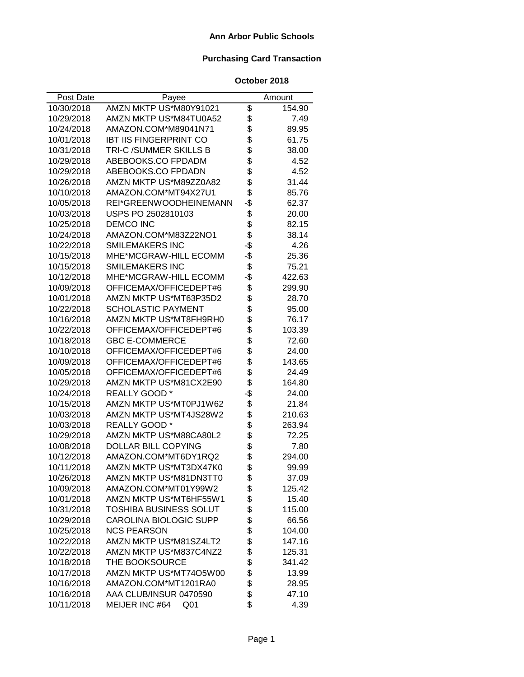### **Ann Arbor Public Schools**

# **Purchasing Card Transaction**

| Post Date  | Payee                             |     | Amount |
|------------|-----------------------------------|-----|--------|
| 10/30/2018 | AMZN MKTP US*M80Y91021            | \$  | 154.90 |
| 10/29/2018 | AMZN MKTP US*M84TU0A52            | \$  | 7.49   |
| 10/24/2018 | AMAZON.COM*M89041N71              | \$  | 89.95  |
| 10/01/2018 | <b>IBT IIS FINGERPRINT CO</b>     | \$  | 61.75  |
| 10/31/2018 | TRI-C /SUMMER SKILLS B            | \$  | 38.00  |
| 10/29/2018 | ABEBOOKS.CO FPDADM                | \$  | 4.52   |
| 10/29/2018 | ABEBOOKS.CO FPDADN                | \$  | 4.52   |
| 10/26/2018 | AMZN MKTP US*M89ZZ0A82            | \$  | 31.44  |
| 10/10/2018 | AMAZON.COM*MT94X27U1              | \$  | 85.76  |
| 10/05/2018 | REI*GREENWOODHEINEMANN            | -\$ | 62.37  |
| 10/03/2018 | USPS PO 2502810103                | \$  | 20.00  |
| 10/25/2018 | <b>DEMCO INC</b>                  | \$  | 82.15  |
| 10/24/2018 | AMAZON.COM*M83Z22NO1              | \$  | 38.14  |
| 10/22/2018 | SMILEMAKERS INC                   | -\$ | 4.26   |
| 10/15/2018 | MHE*MCGRAW-HILL ECOMM             | -\$ | 25.36  |
| 10/15/2018 | <b>SMILEMAKERS INC</b>            | \$  | 75.21  |
| 10/12/2018 | MHE*MCGRAW-HILL ECOMM             | -\$ | 422.63 |
| 10/09/2018 | OFFICEMAX/OFFICEDEPT#6            | \$  | 299.90 |
| 10/01/2018 | AMZN MKTP US*MT63P35D2            | \$  | 28.70  |
| 10/22/2018 | <b>SCHOLASTIC PAYMENT</b>         | \$  | 95.00  |
| 10/16/2018 | AMZN MKTP US*MT8FH9RH0            | \$  | 76.17  |
| 10/22/2018 | OFFICEMAX/OFFICEDEPT#6            | \$  | 103.39 |
| 10/18/2018 | <b>GBC E-COMMERCE</b>             | \$  | 72.60  |
| 10/10/2018 | OFFICEMAX/OFFICEDEPT#6            | \$  | 24.00  |
| 10/09/2018 | OFFICEMAX/OFFICEDEPT#6            | \$  | 143.65 |
| 10/05/2018 | OFFICEMAX/OFFICEDEPT#6            | \$  | 24.49  |
| 10/29/2018 | AMZN MKTP US*M81CX2E90            | \$  | 164.80 |
| 10/24/2018 | REALLY GOOD*                      | -\$ | 24.00  |
| 10/15/2018 | AMZN MKTP US*MT0PJ1W62            | \$  | 21.84  |
| 10/03/2018 | AMZN MKTP US*MT4JS28W2            | \$  | 210.63 |
| 10/03/2018 | REALLY GOOD*                      | \$  | 263.94 |
| 10/29/2018 | AMZN MKTP US*M88CA80L2            | \$  | 72.25  |
| 10/08/2018 | DOLLAR BILL COPYING               | \$  | 7.80   |
| 10/12/2018 | AMAZON.COM*MT6DY1RQ2              | \$  | 294.00 |
| 10/11/2018 | AMZN MKTP US*MT3DX47K0            | \$  | 99.99  |
| 10/26/2018 | AMZN MKTP US*M81DN3TT0            | \$  | 37.09  |
| 10/09/2018 | AMAZON.COM*MT01Y99W2              | \$  | 125.42 |
| 10/01/2018 | AMZN MKTP US*MT6HF55W1            | \$  | 15.40  |
| 10/31/2018 | <b>TOSHIBA BUSINESS SOLUT</b>     | \$  | 115.00 |
| 10/29/2018 | CAROLINA BIOLOGIC SUPP            | \$  | 66.56  |
| 10/25/2018 | <b>NCS PEARSON</b>                | \$  | 104.00 |
| 10/22/2018 | AMZN MKTP US*M81SZ4LT2            | \$  | 147.16 |
| 10/22/2018 | AMZN MKTP US*M837C4NZ2            | \$  | 125.31 |
| 10/18/2018 | THE BOOKSOURCE                    | \$  | 341.42 |
| 10/17/2018 | AMZN MKTP US*MT74O5W00            | \$  | 13.99  |
| 10/16/2018 | AMAZON.COM*MT1201RA0              | \$  | 28.95  |
| 10/16/2018 | AAA CLUB/INSUR 0470590            | \$  | 47.10  |
| 10/11/2018 | MEIJER INC #64<br>Q <sub>01</sub> | \$  | 4.39   |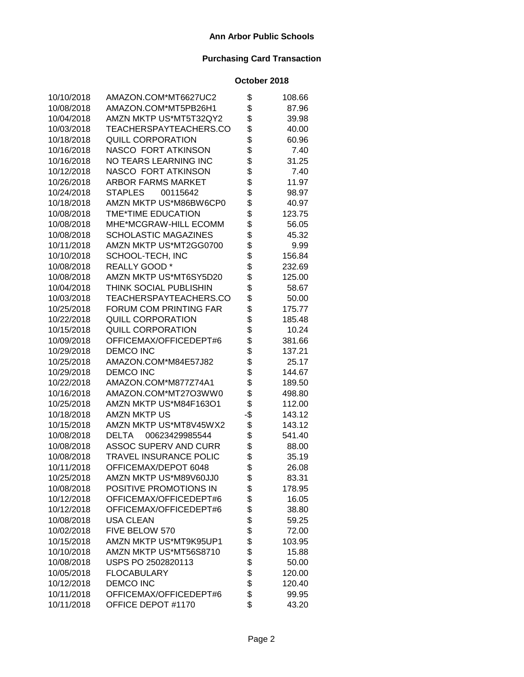| 10/10/2018 | AMAZON.COM*MT6627UC2          | \$  | 108.66 |
|------------|-------------------------------|-----|--------|
| 10/08/2018 | AMAZON.COM*MT5PB26H1          | \$  | 87.96  |
| 10/04/2018 | AMZN MKTP US*MT5T32QY2        | \$  | 39.98  |
| 10/03/2018 | TEACHERSPAYTEACHERS.CO        | \$  | 40.00  |
| 10/18/2018 | <b>QUILL CORPORATION</b>      | \$  | 60.96  |
| 10/16/2018 | NASCO FORT ATKINSON           | \$  | 7.40   |
| 10/16/2018 | NO TEARS LEARNING INC         | \$  | 31.25  |
| 10/12/2018 | NASCO FORT ATKINSON           | \$  | 7.40   |
| 10/26/2018 | ARBOR FARMS MARKET            | \$  | 11.97  |
| 10/24/2018 | <b>STAPLES</b><br>00115642    | \$  | 98.97  |
| 10/18/2018 | AMZN MKTP US*M86BW6CP0        | \$  | 40.97  |
| 10/08/2018 | TME*TIME EDUCATION            | \$  | 123.75 |
| 10/08/2018 | MHE*MCGRAW-HILL ECOMM         | \$  | 56.05  |
| 10/08/2018 | <b>SCHOLASTIC MAGAZINES</b>   | \$  | 45.32  |
| 10/11/2018 | AMZN MKTP US*MT2GG0700        | \$  | 9.99   |
| 10/10/2018 | SCHOOL-TECH, INC              | \$  | 156.84 |
| 10/08/2018 | REALLY GOOD*                  | \$  | 232.69 |
| 10/08/2018 | AMZN MKTP US*MT6SY5D20        | \$  | 125.00 |
| 10/04/2018 | THINK SOCIAL PUBLISHIN        | \$  | 58.67  |
| 10/03/2018 | TEACHERSPAYTEACHERS.CO        | \$  | 50.00  |
| 10/25/2018 | <b>FORUM COM PRINTING FAR</b> | \$  | 175.77 |
| 10/22/2018 | QUILL CORPORATION             | \$  | 185.48 |
| 10/15/2018 | <b>QUILL CORPORATION</b>      | \$  | 10.24  |
| 10/09/2018 | OFFICEMAX/OFFICEDEPT#6        | \$  | 381.66 |
| 10/29/2018 | <b>DEMCO INC</b>              | \$  | 137.21 |
| 10/25/2018 | AMAZON.COM*M84E57J82          | \$  | 25.17  |
| 10/29/2018 | <b>DEMCO INC</b>              | \$  | 144.67 |
| 10/22/2018 | AMAZON.COM*M877Z74A1          | \$  | 189.50 |
| 10/16/2018 | AMAZON.COM*MT27O3WW0          | \$  | 498.80 |
| 10/25/2018 | AMZN MKTP US*M84F163O1        | \$  | 112.00 |
| 10/18/2018 | <b>AMZN MKTP US</b>           | -\$ | 143.12 |
| 10/15/2018 | AMZN MKTP US*MT8V45WX2        | \$  | 143.12 |
| 10/08/2018 | 00623429985544<br>DELTA       | \$  | 541.40 |
| 10/08/2018 | ASSOC SUPERV AND CURR         | \$  | 88.00  |
| 10/08/2018 | TRAVEL INSURANCE POLIC        | \$  | 35.19  |
| 10/11/2018 | OFFICEMAX/DEPOT 6048          | \$  | 26.08  |
| 10/25/2018 | AMZN MKTP US*M89V60JJ0        | \$  | 83.31  |
| 10/08/2018 | POSITIVE PROMOTIONS IN        | \$  | 178.95 |
| 10/12/2018 | OFFICEMAX/OFFICEDEPT#6        | \$  | 16.05  |
| 10/12/2018 | OFFICEMAX/OFFICEDEPT#6        | \$  | 38.80  |
| 10/08/2018 | <b>USA CLEAN</b>              | \$  | 59.25  |
| 10/02/2018 | FIVE BELOW 570                | \$  | 72.00  |
| 10/15/2018 | AMZN MKTP US*MT9K95UP1        | \$  | 103.95 |
| 10/10/2018 | AMZN MKTP US*MT56S8710        | \$  | 15.88  |
| 10/08/2018 | USPS PO 2502820113            | \$  | 50.00  |
| 10/05/2018 | <b>FLOCABULARY</b>            | \$  | 120.00 |
| 10/12/2018 | <b>DEMCO INC</b>              | \$  | 120.40 |
| 10/11/2018 | OFFICEMAX/OFFICEDEPT#6        | \$  | 99.95  |
| 10/11/2018 | OFFICE DEPOT #1170            | \$  | 43.20  |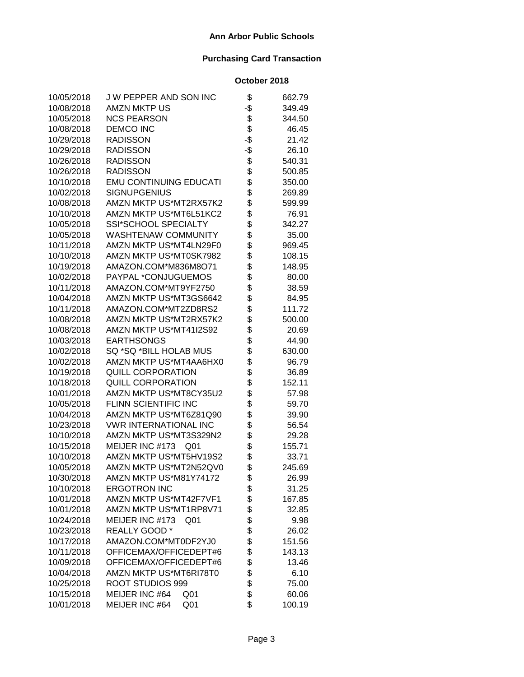| 10/05/2018 | J W PEPPER AND SON INC             | \$  | 662.79 |
|------------|------------------------------------|-----|--------|
| 10/08/2018 | AMZN MKTP US                       | -\$ | 349.49 |
| 10/05/2018 | <b>NCS PEARSON</b>                 | \$  | 344.50 |
| 10/08/2018 | <b>DEMCO INC</b>                   | \$  | 46.45  |
| 10/29/2018 | <b>RADISSON</b>                    | -\$ | 21.42  |
| 10/29/2018 | <b>RADISSON</b>                    | -\$ | 26.10  |
| 10/26/2018 | <b>RADISSON</b>                    | \$  | 540.31 |
| 10/26/2018 | <b>RADISSON</b>                    | \$  | 500.85 |
| 10/10/2018 | <b>EMU CONTINUING EDUCATI</b>      | \$  | 350.00 |
| 10/02/2018 | <b>SIGNUPGENIUS</b>                | \$  | 269.89 |
| 10/08/2018 | AMZN MKTP US*MT2RX57K2             | \$  | 599.99 |
| 10/10/2018 | AMZN MKTP US*MT6L51KC2             | \$  | 76.91  |
| 10/05/2018 | SSI*SCHOOL SPECIALTY               | \$  | 342.27 |
| 10/05/2018 | WASHTENAW COMMUNITY                | \$  | 35.00  |
| 10/11/2018 | AMZN MKTP US*MT4LN29F0             | \$  | 969.45 |
| 10/10/2018 | AMZN MKTP US*MT0SK7982             | \$  | 108.15 |
| 10/19/2018 | AMAZON.COM*M836M8O71               | \$  | 148.95 |
| 10/02/2018 | PAYPAL *CONJUGUEMOS                | \$  | 80.00  |
| 10/11/2018 | AMAZON.COM*MT9YF2750               | \$  | 38.59  |
| 10/04/2018 | AMZN MKTP US*MT3GS6642             | \$  | 84.95  |
| 10/11/2018 | AMAZON.COM*MT2ZD8RS2               | \$  | 111.72 |
| 10/08/2018 | AMZN MKTP US*MT2RX57K2             | \$  | 500.00 |
| 10/08/2018 | AMZN MKTP US*MT41I2S92             | \$  | 20.69  |
| 10/03/2018 | <b>EARTHSONGS</b>                  | \$  | 44.90  |
| 10/02/2018 | SQ *SQ *BILL HOLAB MUS             | \$  | 630.00 |
| 10/02/2018 | AMZN MKTP US*MT4AA6HX0             | \$  | 96.79  |
| 10/19/2018 | <b>QUILL CORPORATION</b>           | \$  | 36.89  |
| 10/18/2018 | <b>QUILL CORPORATION</b>           | \$  | 152.11 |
| 10/01/2018 | AMZN MKTP US*MT8CY35U2             | \$  | 57.98  |
| 10/05/2018 | FLINN SCIENTIFIC INC               | \$  | 59.70  |
| 10/04/2018 | AMZN MKTP US*MT6Z81Q90             | \$  | 39.90  |
| 10/23/2018 | <b>VWR INTERNATIONAL INC</b>       | \$  | 56.54  |
| 10/10/2018 | AMZN MKTP US*MT3S329N2             | \$  | 29.28  |
| 10/15/2018 | MEIJER INC #173<br>Q <sub>01</sub> | \$  | 155.71 |
| 10/10/2018 | AMZN MKTP US*MT5HV19S2             | \$  | 33.71  |
| 10/05/2018 | AMZN MKTP US*MT2N52QV0             | \$  | 245.69 |
| 10/30/2018 | AMZN MKTP US*M81Y74172             | \$  | 26.99  |
| 10/10/2018 | <b>ERGOTRON INC</b>                | \$  | 31.25  |
| 10/01/2018 | AMZN MKTP US*MT42F7VF1             | \$  | 167.85 |
| 10/01/2018 | AMZN MKTP US*MT1RP8V71             | \$  | 32.85  |
| 10/24/2018 | MEIJER INC #173<br>Q <sub>01</sub> | \$  | 9.98   |
| 10/23/2018 | REALLY GOOD*                       | \$  | 26.02  |
| 10/17/2018 | AMAZON.COM*MT0DF2YJ0               | \$  | 151.56 |
| 10/11/2018 | OFFICEMAX/OFFICEDEPT#6             | \$  | 143.13 |
| 10/09/2018 | OFFICEMAX/OFFICEDEPT#6             | \$  | 13.46  |
| 10/04/2018 | AMZN MKTP US*MT6RI78T0             | \$  | 6.10   |
| 10/25/2018 | ROOT STUDIOS 999                   | \$  | 75.00  |
| 10/15/2018 | MEIJER INC #64<br>Q <sub>01</sub>  | \$  | 60.06  |
| 10/01/2018 | MEIJER INC #64<br>Q <sub>01</sub>  | \$  | 100.19 |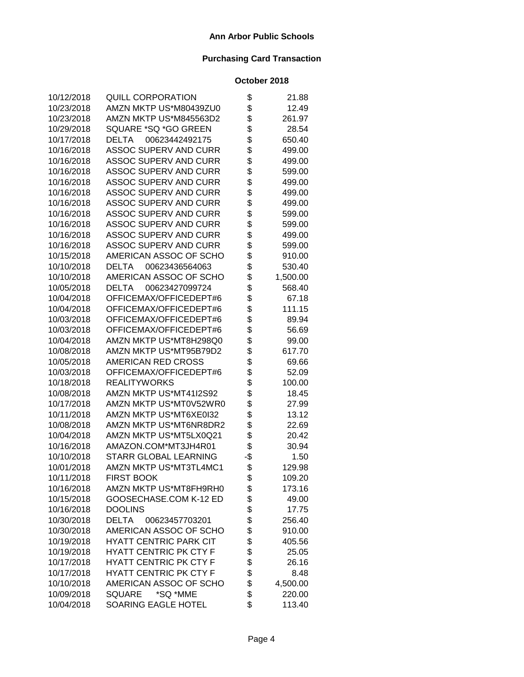| 10/12/2018 | <b>QUILL CORPORATION</b>       | \$  | 21.88    |
|------------|--------------------------------|-----|----------|
| 10/23/2018 | AMZN MKTP US*M80439ZU0         | \$  | 12.49    |
| 10/23/2018 | AMZN MKTP US*M845563D2         | \$  | 261.97   |
| 10/29/2018 | SQUARE *SQ *GO GREEN           | \$  | 28.54    |
| 10/17/2018 | <b>DELTA</b><br>00623442492175 | \$  | 650.40   |
| 10/16/2018 | <b>ASSOC SUPERV AND CURR</b>   | \$  | 499.00   |
| 10/16/2018 | <b>ASSOC SUPERV AND CURR</b>   | \$  | 499.00   |
| 10/16/2018 | <b>ASSOC SUPERV AND CURR</b>   | \$  | 599.00   |
| 10/16/2018 | <b>ASSOC SUPERV AND CURR</b>   | \$  | 499.00   |
| 10/16/2018 | ASSOC SUPERV AND CURR          | \$  | 499.00   |
| 10/16/2018 | <b>ASSOC SUPERV AND CURR</b>   | \$  | 499.00   |
| 10/16/2018 | ASSOC SUPERV AND CURR          | \$  | 599.00   |
| 10/16/2018 | <b>ASSOC SUPERV AND CURR</b>   | \$  | 599.00   |
| 10/16/2018 | <b>ASSOC SUPERV AND CURR</b>   | \$  | 499.00   |
| 10/16/2018 | <b>ASSOC SUPERV AND CURR</b>   | \$  | 599.00   |
| 10/15/2018 | AMERICAN ASSOC OF SCHO         | \$  | 910.00   |
| 10/10/2018 | 00623436564063<br><b>DELTA</b> | \$  | 530.40   |
| 10/10/2018 | AMERICAN ASSOC OF SCHO         | \$  | 1,500.00 |
| 10/05/2018 | <b>DELTA</b><br>00623427099724 | \$  | 568.40   |
| 10/04/2018 | OFFICEMAX/OFFICEDEPT#6         | \$  | 67.18    |
| 10/04/2018 | OFFICEMAX/OFFICEDEPT#6         | \$  | 111.15   |
| 10/03/2018 | OFFICEMAX/OFFICEDEPT#6         | \$  | 89.94    |
| 10/03/2018 | OFFICEMAX/OFFICEDEPT#6         | \$  | 56.69    |
| 10/04/2018 | AMZN MKTP US*MT8H298Q0         | \$  | 99.00    |
| 10/08/2018 | AMZN MKTP US*MT95B79D2         | \$  | 617.70   |
| 10/05/2018 | AMERICAN RED CROSS             | \$  | 69.66    |
| 10/03/2018 | OFFICEMAX/OFFICEDEPT#6         | \$  | 52.09    |
| 10/18/2018 | <b>REALITYWORKS</b>            | \$  | 100.00   |
| 10/08/2018 | AMZN MKTP US*MT41I2S92         | \$  | 18.45    |
| 10/17/2018 | AMZN MKTP US*MT0V52WR0         | \$  | 27.99    |
| 10/11/2018 | AMZN MKTP US*MT6XE0I32         | \$  | 13.12    |
| 10/08/2018 | AMZN MKTP US*MT6NR8DR2         | \$  | 22.69    |
| 10/04/2018 | AMZN MKTP US*MT5LX0Q21         | \$  | 20.42    |
| 10/16/2018 | AMAZON.COM*MT3JH4R01           | \$  | 30.94    |
| 10/10/2018 | STARR GLOBAL LEARNING          | -\$ | 1.50     |
| 10/01/2018 | AMZN MKTP US*MT3TL4MC1         | \$  | 129.98   |
| 10/11/2018 | <b>FIRST BOOK</b>              | \$  | 109.20   |
| 10/16/2018 | AMZN MKTP US*MT8FH9RH0         | \$  | 173.16   |
| 10/15/2018 | GOOSECHASE.COM K-12 ED         | \$  | 49.00    |
| 10/16/2018 | <b>DOOLINS</b>                 | \$  | 17.75    |
| 10/30/2018 | <b>DELTA</b><br>00623457703201 | \$  | 256.40   |
| 10/30/2018 | AMERICAN ASSOC OF SCHO         | \$  | 910.00   |
| 10/19/2018 | <b>HYATT CENTRIC PARK CIT</b>  | \$  | 405.56   |
| 10/19/2018 | <b>HYATT CENTRIC PK CTY F</b>  | \$  | 25.05    |
| 10/17/2018 | <b>HYATT CENTRIC PK CTY F</b>  | \$  | 26.16    |
| 10/17/2018 | <b>HYATT CENTRIC PK CTY F</b>  | \$  | 8.48     |
| 10/10/2018 | AMERICAN ASSOC OF SCHO         | \$  | 4,500.00 |
| 10/09/2018 | *SQ *MME<br><b>SQUARE</b>      | \$  | 220.00   |
| 10/04/2018 | SOARING EAGLE HOTEL            | \$  | 113.40   |
|            |                                |     |          |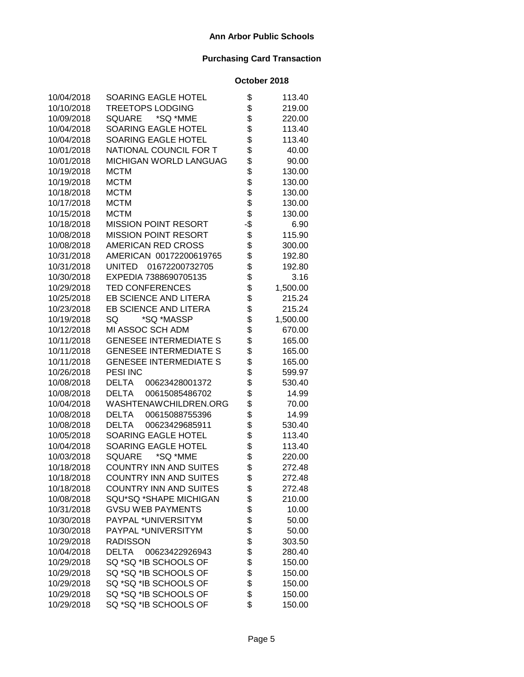| 10/04/2018 | SOARING EAGLE HOTEL            | \$  | 113.40   |
|------------|--------------------------------|-----|----------|
| 10/10/2018 | <b>TREETOPS LODGING</b>        | \$  | 219.00   |
| 10/09/2018 | <b>SQUARE</b><br>*SQ *MME      | \$  | 220.00   |
| 10/04/2018 | SOARING EAGLE HOTEL            | \$  | 113.40   |
| 10/04/2018 | SOARING EAGLE HOTEL            | \$  | 113.40   |
| 10/01/2018 | NATIONAL COUNCIL FOR T         | \$  | 40.00    |
| 10/01/2018 | MICHIGAN WORLD LANGUAG         | \$  | 90.00    |
| 10/19/2018 | <b>MCTM</b>                    | \$  | 130.00   |
| 10/19/2018 | <b>MCTM</b>                    | \$  | 130.00   |
| 10/18/2018 | <b>MCTM</b>                    | \$  | 130.00   |
| 10/17/2018 | <b>MCTM</b>                    | \$  | 130.00   |
| 10/15/2018 | <b>MCTM</b>                    | \$  | 130.00   |
| 10/18/2018 | <b>MISSION POINT RESORT</b>    | -\$ | 6.90     |
| 10/08/2018 | <b>MISSION POINT RESORT</b>    | \$  | 115.90   |
| 10/08/2018 | AMERICAN RED CROSS             | \$  | 300.00   |
| 10/31/2018 | AMERICAN 00172200619765        | \$  | 192.80   |
| 10/31/2018 | 01672200732705<br>UNITED       | \$  | 192.80   |
| 10/30/2018 | EXPEDIA 7388690705135          | \$  | 3.16     |
| 10/29/2018 | <b>TED CONFERENCES</b>         | \$  | 1,500.00 |
| 10/25/2018 | EB SCIENCE AND LITERA          | \$  | 215.24   |
| 10/23/2018 | EB SCIENCE AND LITERA          | \$  | 215.24   |
| 10/19/2018 | SQ<br>*SQ *MASSP               | \$  | 1,500.00 |
| 10/12/2018 | MI ASSOC SCH ADM               | \$  | 670.00   |
| 10/11/2018 | <b>GENESEE INTERMEDIATE S</b>  | \$  | 165.00   |
| 10/11/2018 | <b>GENESEE INTERMEDIATE S</b>  | \$  | 165.00   |
| 10/11/2018 | <b>GENESEE INTERMEDIATE S</b>  | \$  | 165.00   |
| 10/26/2018 | <b>PESI INC</b>                | \$  | 599.97   |
| 10/08/2018 | <b>DELTA</b><br>00623428001372 | \$  | 530.40   |
| 10/08/2018 | <b>DELTA</b><br>00615085486702 | \$  | 14.99    |
| 10/04/2018 | WASHTENAWCHILDREN.ORG          | \$  | 70.00    |
| 10/08/2018 | <b>DELTA</b><br>00615088755396 | \$  | 14.99    |
| 10/08/2018 | <b>DELTA</b><br>00623429685911 | \$  | 530.40   |
| 10/05/2018 | SOARING EAGLE HOTEL            | \$  | 113.40   |
| 10/04/2018 | SOARING EAGLE HOTEL            | \$  | 113.40   |
| 10/03/2018 | *SQ *MME<br>SQUARE             | \$  | 220.00   |
| 10/18/2018 | <b>COUNTRY INN AND SUITES</b>  | \$  | 272.48   |
| 10/18/2018 | <b>COUNTRY INN AND SUITES</b>  | \$  | 272.48   |
| 10/18/2018 | <b>COUNTRY INN AND SUITES</b>  | \$  | 272.48   |
| 10/08/2018 | SQU*SQ *SHAPE MICHIGAN         | \$  | 210.00   |
| 10/31/2018 | <b>GVSU WEB PAYMENTS</b>       | \$  | 10.00    |
| 10/30/2018 | PAYPAL *UNIVERSITYM            | \$  | 50.00    |
| 10/30/2018 | PAYPAL *UNIVERSITYM            | \$  | 50.00    |
| 10/29/2018 | <b>RADISSON</b>                | \$  | 303.50   |
| 10/04/2018 | <b>DELTA</b><br>00623422926943 | \$  | 280.40   |
| 10/29/2018 | SQ *SQ *IB SCHOOLS OF          | \$  | 150.00   |
| 10/29/2018 | SQ *SQ *IB SCHOOLS OF          | \$  | 150.00   |
| 10/29/2018 | SQ *SQ *IB SCHOOLS OF          | \$  | 150.00   |
| 10/29/2018 | SQ *SQ *IB SCHOOLS OF          | \$  | 150.00   |
| 10/29/2018 | SQ *SQ *IB SCHOOLS OF          | \$  | 150.00   |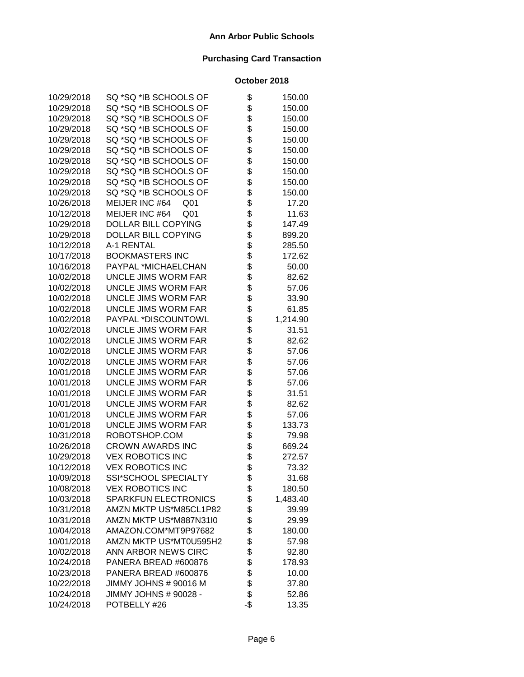| 10/29/2018 | SQ *SQ *IB SCHOOLS OF             | \$  | 150.00   |
|------------|-----------------------------------|-----|----------|
| 10/29/2018 | SQ *SQ *IB SCHOOLS OF             | \$  | 150.00   |
| 10/29/2018 | SQ *SQ *IB SCHOOLS OF             | \$  | 150.00   |
| 10/29/2018 | SQ *SQ *IB SCHOOLS OF             | \$  | 150.00   |
| 10/29/2018 | SQ *SQ *IB SCHOOLS OF             | \$  | 150.00   |
| 10/29/2018 | SQ *SQ *IB SCHOOLS OF             | \$  | 150.00   |
| 10/29/2018 | SQ *SQ *IB SCHOOLS OF             | \$  | 150.00   |
| 10/29/2018 | SQ *SQ *IB SCHOOLS OF             | \$  | 150.00   |
| 10/29/2018 | SQ *SQ *IB SCHOOLS OF             | \$  | 150.00   |
| 10/29/2018 | SQ *SQ *IB SCHOOLS OF             | \$  | 150.00   |
| 10/26/2018 | MEIJER INC #64<br>Q <sub>01</sub> | \$  | 17.20    |
| 10/12/2018 | MEIJER INC #64<br>Q <sub>01</sub> | \$  | 11.63    |
| 10/29/2018 | DOLLAR BILL COPYING               | \$  | 147.49   |
| 10/29/2018 | DOLLAR BILL COPYING               | \$  | 899.20   |
| 10/12/2018 | A-1 RENTAL                        | \$  | 285.50   |
| 10/17/2018 | <b>BOOKMASTERS INC</b>            | \$  | 172.62   |
| 10/16/2018 | PAYPAL *MICHAELCHAN               | \$  | 50.00    |
| 10/02/2018 | <b>UNCLE JIMS WORM FAR</b>        | \$  | 82.62    |
| 10/02/2018 | <b>UNCLE JIMS WORM FAR</b>        | \$  | 57.06    |
| 10/02/2018 | <b>UNCLE JIMS WORM FAR</b>        | \$  | 33.90    |
| 10/02/2018 | UNCLE JIMS WORM FAR               | \$  | 61.85    |
| 10/02/2018 | PAYPAL *DISCOUNTOWL               | \$  | 1,214.90 |
| 10/02/2018 | <b>UNCLE JIMS WORM FAR</b>        | \$  | 31.51    |
| 10/02/2018 | <b>UNCLE JIMS WORM FAR</b>        | \$  | 82.62    |
| 10/02/2018 | UNCLE JIMS WORM FAR               | \$  | 57.06    |
| 10/02/2018 | UNCLE JIMS WORM FAR               | \$  | 57.06    |
| 10/01/2018 | <b>UNCLE JIMS WORM FAR</b>        | \$  | 57.06    |
| 10/01/2018 | <b>UNCLE JIMS WORM FAR</b>        | \$  | 57.06    |
| 10/01/2018 | <b>UNCLE JIMS WORM FAR</b>        | \$  | 31.51    |
| 10/01/2018 | UNCLE JIMS WORM FAR               | \$  | 82.62    |
| 10/01/2018 | <b>UNCLE JIMS WORM FAR</b>        | \$  | 57.06    |
| 10/01/2018 | <b>UNCLE JIMS WORM FAR</b>        | \$  | 133.73   |
| 10/31/2018 | ROBOTSHOP.COM                     | \$  | 79.98    |
| 10/26/2018 | <b>CROWN AWARDS INC</b>           | \$  | 669.24   |
| 10/29/2018 | <b>VEX ROBOTICS INC</b>           | \$  | 272.57   |
| 10/12/2018 | <b>VEX ROBOTICS INC</b>           | \$  | 73.32    |
| 10/09/2018 | SSI*SCHOOL SPECIALTY              | \$  | 31.68    |
| 10/08/2018 | <b>VEX ROBOTICS INC</b>           | \$  | 180.50   |
| 10/03/2018 | SPARKFUN ELECTRONICS              | \$  | 1,483.40 |
| 10/31/2018 | AMZN MKTP US*M85CL1P82            | \$  | 39.99    |
| 10/31/2018 | AMZN MKTP US*M887N31I0            | \$  | 29.99    |
| 10/04/2018 | AMAZON.COM*MT9P97682              | \$  | 180.00   |
| 10/01/2018 | AMZN MKTP US*MT0U595H2            | \$  | 57.98    |
| 10/02/2018 | ANN ARBOR NEWS CIRC               | \$  | 92.80    |
| 10/24/2018 | PANERA BREAD #600876              | \$  | 178.93   |
| 10/23/2018 | PANERA BREAD #600876              | \$  | 10.00    |
| 10/22/2018 | JIMMY JOHNS # 90016 M             | \$  | 37.80    |
| 10/24/2018 | JIMMY JOHNS # 90028 -             | \$  | 52.86    |
| 10/24/2018 | POTBELLY #26                      | -\$ | 13.35    |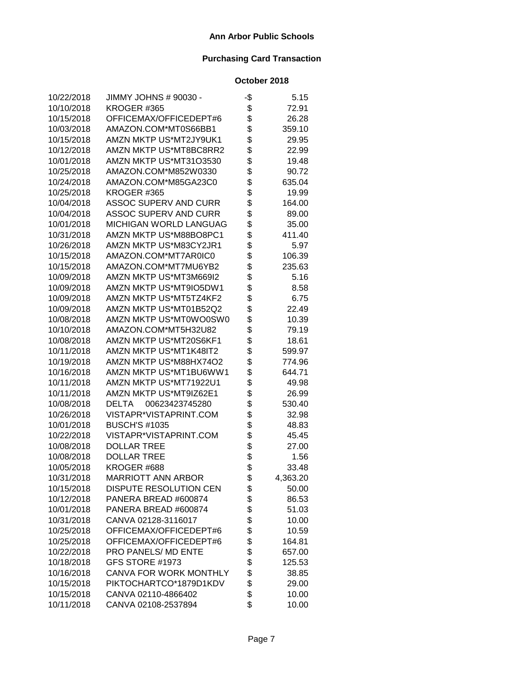| 10/22/2018 | JIMMY JOHNS # 90030 -          | -\$ | 5.15     |
|------------|--------------------------------|-----|----------|
| 10/10/2018 | KROGER #365                    | \$  | 72.91    |
| 10/15/2018 | OFFICEMAX/OFFICEDEPT#6         | \$  | 26.28    |
| 10/03/2018 | AMAZON.COM*MT0S66BB1           | \$  | 359.10   |
| 10/15/2018 | AMZN MKTP US*MT2JY9UK1         | \$  | 29.95    |
| 10/12/2018 | AMZN MKTP US*MT8BC8RR2         | \$  | 22.99    |
| 10/01/2018 | AMZN MKTP US*MT31O3530         | \$  | 19.48    |
| 10/25/2018 | AMAZON.COM*M852W0330           | \$  | 90.72    |
| 10/24/2018 | AMAZON.COM*M85GA23C0           | \$  | 635.04   |
| 10/25/2018 | KROGER #365                    | \$  | 19.99    |
| 10/04/2018 | <b>ASSOC SUPERV AND CURR</b>   | \$  | 164.00   |
| 10/04/2018 | ASSOC SUPERV AND CURR          | \$  | 89.00    |
| 10/01/2018 | MICHIGAN WORLD LANGUAG         | \$  | 35.00    |
| 10/31/2018 | AMZN MKTP US*M88BO8PC1         | \$  | 411.40   |
| 10/26/2018 | AMZN MKTP US*M83CY2JR1         | \$  | 5.97     |
| 10/15/2018 | AMAZON.COM*MT7AR0IC0           | \$  | 106.39   |
| 10/15/2018 | AMAZON.COM*MT7MU6YB2           | \$  | 235.63   |
| 10/09/2018 | AMZN MKTP US*MT3M669I2         | \$  | 5.16     |
| 10/09/2018 | AMZN MKTP US*MT9IO5DW1         | \$  | 8.58     |
| 10/09/2018 | AMZN MKTP US*MT5TZ4KF2         | \$  | 6.75     |
| 10/09/2018 | AMZN MKTP US*MT01B52Q2         | \$  | 22.49    |
| 10/08/2018 | AMZN MKTP US*MT0WO0SW0         | \$  | 10.39    |
| 10/10/2018 | AMAZON.COM*MT5H32U82           | \$  | 79.19    |
| 10/08/2018 | AMZN MKTP US*MT20S6KF1         | \$  | 18.61    |
| 10/11/2018 | AMZN MKTP US*MT1K48IT2         | \$  | 599.97   |
| 10/19/2018 | AMZN MKTP US*M88HX74O2         | \$  | 774.96   |
| 10/16/2018 | AMZN MKTP US*MT1BU6WW1         | \$  | 644.71   |
| 10/11/2018 | AMZN MKTP US*MT71922U1         | \$  | 49.98    |
| 10/11/2018 | AMZN MKTP US*MT9IZ62E1         | \$  | 26.99    |
| 10/08/2018 | <b>DELTA</b><br>00623423745280 | \$  | 530.40   |
| 10/26/2018 | VISTAPR*VISTAPRINT.COM         | \$  | 32.98    |
| 10/01/2018 | <b>BUSCH'S #1035</b>           | \$  | 48.83    |
| 10/22/2018 | VISTAPR*VISTAPRINT.COM         | \$  | 45.45    |
| 10/08/2018 | DOLLAR TREE                    | \$  | 27.00    |
| 10/08/2018 | <b>DOLLAR TREE</b>             | \$  | 1.56     |
| 10/05/2018 | KROGER #688                    | \$  | 33.48    |
| 10/31/2018 | <b>MARRIOTT ANN ARBOR</b>      | \$  | 4,363.20 |
| 10/15/2018 | DISPUTE RESOLUTION CEN         | \$  | 50.00    |
| 10/12/2018 | PANERA BREAD #600874           | \$  | 86.53    |
| 10/01/2018 | PANERA BREAD #600874           | \$  | 51.03    |
| 10/31/2018 | CANVA 02128-3116017            | \$  | 10.00    |
| 10/25/2018 | OFFICEMAX/OFFICEDEPT#6         | \$  | 10.59    |
| 10/25/2018 | OFFICEMAX/OFFICEDEPT#6         | \$  | 164.81   |
| 10/22/2018 | PRO PANELS/ MD ENTE            | \$  | 657.00   |
| 10/18/2018 | GFS STORE #1973                | \$  | 125.53   |
| 10/16/2018 | <b>CANVA FOR WORK MONTHLY</b>  | \$  | 38.85    |
| 10/15/2018 | PIKTOCHARTCO*1879D1KDV         | \$  | 29.00    |
| 10/15/2018 | CANVA 02110-4866402            | \$  | 10.00    |
| 10/11/2018 | CANVA 02108-2537894            | \$  | 10.00    |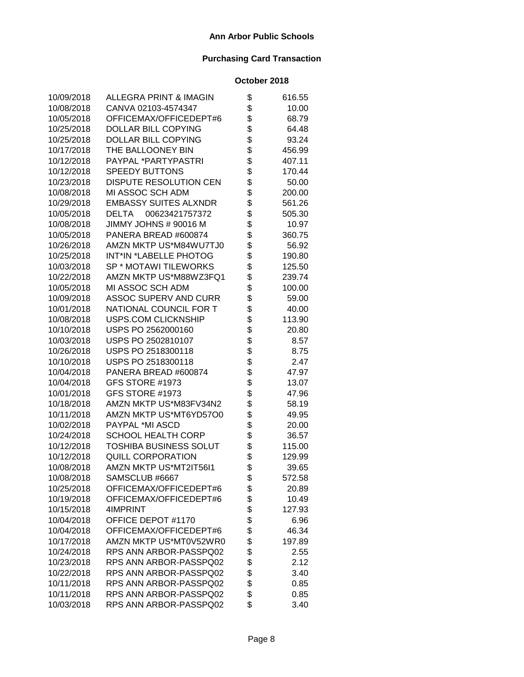| 10/09/2018 | ALLEGRA PRINT & IMAGIN         | \$       | 616.55 |
|------------|--------------------------------|----------|--------|
| 10/08/2018 | CANVA 02103-4574347            | \$       | 10.00  |
| 10/05/2018 | OFFICEMAX/OFFICEDEPT#6         | \$       | 68.79  |
| 10/25/2018 | DOLLAR BILL COPYING            | \$       | 64.48  |
| 10/25/2018 | DOLLAR BILL COPYING            | \$       | 93.24  |
| 10/17/2018 | THE BALLOONEY BIN              | \$       | 456.99 |
| 10/12/2018 | PAYPAL *PARTYPASTRI            | \$       | 407.11 |
| 10/12/2018 | <b>SPEEDY BUTTONS</b>          | \$       | 170.44 |
| 10/23/2018 | <b>DISPUTE RESOLUTION CEN</b>  | \$       | 50.00  |
| 10/08/2018 | MI ASSOC SCH ADM               | \$       | 200.00 |
| 10/29/2018 | <b>EMBASSY SUITES ALXNDR</b>   | \$       | 561.26 |
| 10/05/2018 | <b>DELTA</b><br>00623421757372 | \$       | 505.30 |
| 10/08/2018 | JIMMY JOHNS # 90016 M          | \$       | 10.97  |
| 10/05/2018 | PANERA BREAD #600874           | \$       | 360.75 |
| 10/26/2018 | AMZN MKTP US*M84WU7TJ0         | \$       | 56.92  |
| 10/25/2018 | INT*IN *LABELLE PHOTOG         | \$       | 190.80 |
| 10/03/2018 | SP * MOTAWI TILEWORKS          | \$       | 125.50 |
| 10/22/2018 | AMZN MKTP US*M88WZ3FQ1         | \$       | 239.74 |
| 10/05/2018 | MI ASSOC SCH ADM               | \$       | 100.00 |
| 10/09/2018 | <b>ASSOC SUPERV AND CURR</b>   | \$       | 59.00  |
| 10/01/2018 | NATIONAL COUNCIL FOR T         | \$       | 40.00  |
| 10/08/2018 | <b>USPS.COM CLICKNSHIP</b>     | \$       | 113.90 |
| 10/10/2018 | USPS PO 2562000160             | \$       | 20.80  |
| 10/03/2018 | USPS PO 2502810107             | \$<br>\$ | 8.57   |
| 10/26/2018 | USPS PO 2518300118             |          | 8.75   |
| 10/10/2018 | USPS PO 2518300118             | \$       | 2.47   |
| 10/04/2018 | PANERA BREAD #600874           | \$       | 47.97  |
| 10/04/2018 | GFS STORE #1973                | \$       | 13.07  |
| 10/01/2018 | GFS STORE #1973                | \$       | 47.96  |
| 10/18/2018 | AMZN MKTP US*M83FV34N2         | \$       | 58.19  |
| 10/11/2018 | AMZN MKTP US*MT6YD57O0         | \$       | 49.95  |
| 10/02/2018 | PAYPAL *MI ASCD                | \$       | 20.00  |
| 10/24/2018 | <b>SCHOOL HEALTH CORP</b>      | \$       | 36.57  |
| 10/12/2018 | TOSHIBA BUSINESS SOLUT         | \$       | 115.00 |
| 10/12/2018 | <b>QUILL CORPORATION</b>       | \$       | 129.99 |
| 10/08/2018 | AMZN MKTP US*MT2IT56I1         | \$       | 39.65  |
| 10/08/2018 | SAMSCLUB #6667                 | \$       | 572.58 |
| 10/25/2018 | OFFICEMAX/OFFICEDEPT#6         | \$       | 20.89  |
| 10/19/2018 | OFFICEMAX/OFFICEDEPT#6         | \$       | 10.49  |
| 10/15/2018 | 4IMPRINT                       | \$       | 127.93 |
| 10/04/2018 | OFFICE DEPOT #1170             | \$       | 6.96   |
| 10/04/2018 | OFFICEMAX/OFFICEDEPT#6         | \$       | 46.34  |
| 10/17/2018 | AMZN MKTP US*MT0V52WR0         | \$       | 197.89 |
| 10/24/2018 | RPS ANN ARBOR-PASSPQ02         | \$       | 2.55   |
| 10/23/2018 | RPS ANN ARBOR-PASSPQ02         | \$       | 2.12   |
| 10/22/2018 | RPS ANN ARBOR-PASSPQ02         | \$       | 3.40   |
| 10/11/2018 | RPS ANN ARBOR-PASSPQ02         | \$       | 0.85   |
| 10/11/2018 | RPS ANN ARBOR-PASSPQ02         | \$       | 0.85   |
| 10/03/2018 | RPS ANN ARBOR-PASSPQ02         | \$       | 3.40   |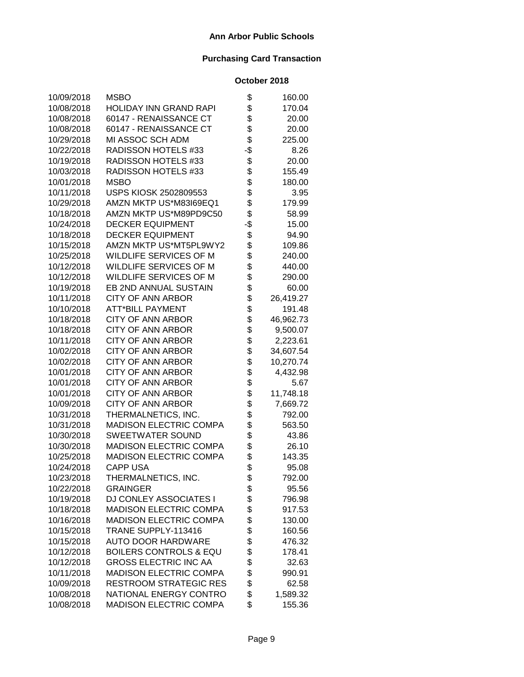| 10/09/2018 | <b>MSBO</b>                       | \$     | 160.00    |
|------------|-----------------------------------|--------|-----------|
| 10/08/2018 | HOLIDAY INN GRAND RAPI            | \$     | 170.04    |
| 10/08/2018 | 60147 - RENAISSANCE CT            | \$     | 20.00     |
| 10/08/2018 | 60147 - RENAISSANCE CT            | \$     | 20.00     |
| 10/29/2018 | MI ASSOC SCH ADM                  | \$     | 225.00    |
| 10/22/2018 | RADISSON HOTELS #33               | -\$    | 8.26      |
| 10/19/2018 | RADISSON HOTELS #33               | \$     | 20.00     |
| 10/03/2018 | RADISSON HOTELS #33               | \$     | 155.49    |
| 10/01/2018 | <b>MSBO</b>                       | \$     | 180.00    |
| 10/11/2018 | USPS KIOSK 2502809553             | \$     | 3.95      |
| 10/29/2018 | AMZN MKTP US*M83I69EQ1            | \$     | 179.99    |
| 10/18/2018 | AMZN MKTP US*M89PD9C50            | \$     | 58.99     |
| 10/24/2018 | <b>DECKER EQUIPMENT</b>           | -\$    | 15.00     |
| 10/18/2018 | <b>DECKER EQUIPMENT</b>           | \$     | 94.90     |
| 10/15/2018 | AMZN MKTP US*MT5PL9WY2            | \$     | 109.86    |
| 10/25/2018 | <b>WILDLIFE SERVICES OF M</b>     | \$     | 240.00    |
| 10/12/2018 | WILDLIFE SERVICES OF M            | \$     | 440.00    |
| 10/12/2018 | WILDLIFE SERVICES OF M            | \$     | 290.00    |
| 10/19/2018 | EB 2ND ANNUAL SUSTAIN             | \$     | 60.00     |
| 10/11/2018 | <b>CITY OF ANN ARBOR</b>          | \$     | 26,419.27 |
| 10/10/2018 | <b>ATT*BILL PAYMENT</b>           | \$     | 191.48    |
| 10/18/2018 | <b>CITY OF ANN ARBOR</b>          | \$     | 46,962.73 |
| 10/18/2018 | <b>CITY OF ANN ARBOR</b>          | \$     | 9,500.07  |
| 10/11/2018 | <b>CITY OF ANN ARBOR</b>          | \$     | 2,223.61  |
| 10/02/2018 | <b>CITY OF ANN ARBOR</b>          | \$     | 34,607.54 |
| 10/02/2018 | <b>CITY OF ANN ARBOR</b>          | \$     | 10,270.74 |
| 10/01/2018 | <b>CITY OF ANN ARBOR</b>          | \$     | 4,432.98  |
| 10/01/2018 | <b>CITY OF ANN ARBOR</b>          | \$     | 5.67      |
| 10/01/2018 | <b>CITY OF ANN ARBOR</b>          | \$     | 11,748.18 |
| 10/09/2018 | <b>CITY OF ANN ARBOR</b>          | \$     | 7,669.72  |
| 10/31/2018 | THERMALNETICS, INC.               | \$     | 792.00    |
| 10/31/2018 | <b>MADISON ELECTRIC COMPA</b>     | \$     | 563.50    |
| 10/30/2018 | <b>SWEETWATER SOUND</b>           | \$     | 43.86     |
| 10/30/2018 | <b>MADISON ELECTRIC COMPA</b>     | \$     | 26.10     |
| 10/25/2018 | <b>MADISON ELECTRIC COMPA</b>     | \$     | 143.35    |
| 10/24/2018 | <b>CAPP USA</b>                   | \$     | 95.08     |
| 10/23/2018 | THERMALNETICS, INC.               | ሖ<br>Φ | 792.00    |
| 10/22/2018 | <b>GRAINGER</b>                   | \$     | 95.56     |
| 10/19/2018 | DJ CONLEY ASSOCIATES I            | \$     | 796.98    |
| 10/18/2018 | <b>MADISON ELECTRIC COMPA</b>     | \$     | 917.53    |
| 10/16/2018 | <b>MADISON ELECTRIC COMPA</b>     | \$     | 130.00    |
| 10/15/2018 | TRANE SUPPLY-113416               | \$     | 160.56    |
| 10/15/2018 | <b>AUTO DOOR HARDWARE</b>         | \$     | 476.32    |
| 10/12/2018 | <b>BOILERS CONTROLS &amp; EQU</b> | \$     | 178.41    |
| 10/12/2018 | <b>GROSS ELECTRIC INC AA</b>      | \$     | 32.63     |
| 10/11/2018 | <b>MADISON ELECTRIC COMPA</b>     | \$     | 990.91    |
| 10/09/2018 | <b>RESTROOM STRATEGIC RES</b>     | \$     | 62.58     |
| 10/08/2018 | NATIONAL ENERGY CONTRO            | \$     | 1,589.32  |
| 10/08/2018 | <b>MADISON ELECTRIC COMPA</b>     | \$     | 155.36    |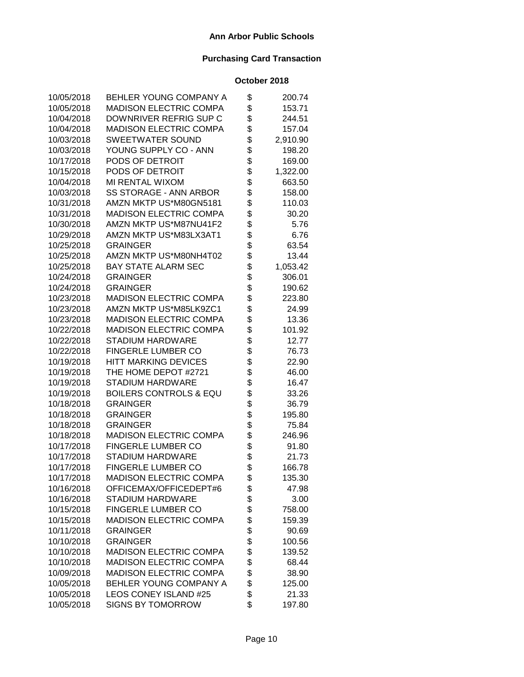| 10/05/2018 | BEHLER YOUNG COMPANY A            | \$<br>200.74   |
|------------|-----------------------------------|----------------|
| 10/05/2018 | <b>MADISON ELECTRIC COMPA</b>     | \$<br>153.71   |
| 10/04/2018 | DOWNRIVER REFRIG SUP C            | \$<br>244.51   |
| 10/04/2018 | <b>MADISON ELECTRIC COMPA</b>     | \$<br>157.04   |
| 10/03/2018 | <b>SWEETWATER SOUND</b>           | \$<br>2,910.90 |
| 10/03/2018 | YOUNG SUPPLY CO - ANN             | \$<br>198.20   |
| 10/17/2018 | PODS OF DETROIT                   | \$<br>169.00   |
| 10/15/2018 | PODS OF DETROIT                   | \$<br>1,322.00 |
| 10/04/2018 | MI RENTAL WIXOM                   | \$<br>663.50   |
| 10/03/2018 | <b>SS STORAGE - ANN ARBOR</b>     | \$<br>158.00   |
| 10/31/2018 | AMZN MKTP US*M80GN5181            | \$<br>110.03   |
| 10/31/2018 | <b>MADISON ELECTRIC COMPA</b>     | \$<br>30.20    |
| 10/30/2018 | AMZN MKTP US*M87NU41F2            | \$<br>5.76     |
| 10/29/2018 | AMZN MKTP US*M83LX3AT1            | \$<br>6.76     |
| 10/25/2018 | <b>GRAINGER</b>                   | \$<br>63.54    |
| 10/25/2018 | AMZN MKTP US*M80NH4T02            | \$<br>13.44    |
| 10/25/2018 | <b>BAY STATE ALARM SEC</b>        | \$<br>1,053.42 |
| 10/24/2018 | <b>GRAINGER</b>                   | \$<br>306.01   |
| 10/24/2018 | <b>GRAINGER</b>                   | \$<br>190.62   |
| 10/23/2018 | <b>MADISON ELECTRIC COMPA</b>     | \$<br>223.80   |
| 10/23/2018 | AMZN MKTP US*M85LK9ZC1            | \$<br>24.99    |
| 10/23/2018 | <b>MADISON ELECTRIC COMPA</b>     | \$<br>13.36    |
| 10/22/2018 | MADISON ELECTRIC COMPA            | \$<br>101.92   |
| 10/22/2018 | <b>STADIUM HARDWARE</b>           | \$<br>12.77    |
| 10/22/2018 | <b>FINGERLE LUMBER CO</b>         | \$<br>76.73    |
| 10/19/2018 | <b>HITT MARKING DEVICES</b>       | \$<br>22.90    |
| 10/19/2018 | THE HOME DEPOT #2721              | \$<br>46.00    |
| 10/19/2018 | <b>STADIUM HARDWARE</b>           | \$<br>16.47    |
| 10/19/2018 | <b>BOILERS CONTROLS &amp; EQU</b> | \$<br>33.26    |
| 10/18/2018 | <b>GRAINGER</b>                   | \$<br>36.79    |
| 10/18/2018 | <b>GRAINGER</b>                   | \$<br>195.80   |
| 10/18/2018 | <b>GRAINGER</b>                   | \$<br>75.84    |
| 10/18/2018 | <b>MADISON ELECTRIC COMPA</b>     | \$<br>246.96   |
| 10/17/2018 | <b>FINGERLE LUMBER CO</b>         | \$<br>91.80    |
| 10/17/2018 | <b>STADIUM HARDWARE</b>           | \$<br>21.73    |
| 10/17/2018 | <b>FINGERLE LUMBER CO</b>         | \$<br>166.78   |
| 10/17/2018 | <b>MADISON ELECTRIC COMPA</b>     | \$<br>135.30   |
| 10/16/2018 | OFFICEMAX/OFFICEDEPT#6            | \$<br>47.98    |
| 10/16/2018 | <b>STADIUM HARDWARE</b>           | \$<br>3.00     |
| 10/15/2018 | <b>FINGERLE LUMBER CO</b>         | \$<br>758.00   |
| 10/15/2018 | <b>MADISON ELECTRIC COMPA</b>     | \$<br>159.39   |
| 10/11/2018 | <b>GRAINGER</b>                   | \$<br>90.69    |
| 10/10/2018 | <b>GRAINGER</b>                   | \$<br>100.56   |
| 10/10/2018 | <b>MADISON ELECTRIC COMPA</b>     | \$<br>139.52   |
| 10/10/2018 | <b>MADISON ELECTRIC COMPA</b>     | \$<br>68.44    |
| 10/09/2018 | <b>MADISON ELECTRIC COMPA</b>     | \$<br>38.90    |
| 10/05/2018 | BEHLER YOUNG COMPANY A            | \$<br>125.00   |
| 10/05/2018 | <b>LEOS CONEY ISLAND #25</b>      | \$<br>21.33    |
| 10/05/2018 | <b>SIGNS BY TOMORROW</b>          | \$<br>197.80   |
|            |                                   |                |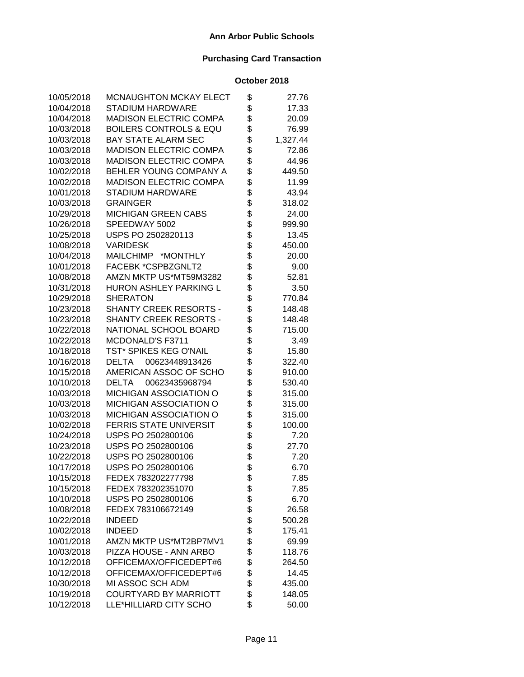| 10/05/2018 | <b>MCNAUGHTON MCKAY ELECT</b>     | \$       | 27.76    |
|------------|-----------------------------------|----------|----------|
| 10/04/2018 | <b>STADIUM HARDWARE</b>           | \$       | 17.33    |
| 10/04/2018 | <b>MADISON ELECTRIC COMPA</b>     | \$       | 20.09    |
| 10/03/2018 | <b>BOILERS CONTROLS &amp; EQU</b> | \$       | 76.99    |
| 10/03/2018 | <b>BAY STATE ALARM SEC</b>        | \$       | 1,327.44 |
| 10/03/2018 | <b>MADISON ELECTRIC COMPA</b>     | \$       | 72.86    |
| 10/03/2018 | <b>MADISON ELECTRIC COMPA</b>     | \$       | 44.96    |
| 10/02/2018 | BEHLER YOUNG COMPANY A            | \$       | 449.50   |
| 10/02/2018 | <b>MADISON ELECTRIC COMPA</b>     | \$       | 11.99    |
| 10/01/2018 | <b>STADIUM HARDWARE</b>           | \$       | 43.94    |
| 10/03/2018 | <b>GRAINGER</b>                   | \$       | 318.02   |
| 10/29/2018 | MICHIGAN GREEN CABS               | \$\$     | 24.00    |
| 10/26/2018 | SPEEDWAY 5002                     |          | 999.90   |
| 10/25/2018 | USPS PO 2502820113                |          | 13.45    |
| 10/08/2018 | <b>VARIDESK</b>                   | \$       | 450.00   |
| 10/04/2018 | MAILCHIMP *MONTHLY                | \$       | 20.00    |
| 10/01/2018 | FACEBK *CSPBZGNLT2                | \$       | 9.00     |
| 10/08/2018 | AMZN MKTP US*MT59M3282            | \$       | 52.81    |
| 10/31/2018 | <b>HURON ASHLEY PARKING L</b>     | \$       | 3.50     |
| 10/29/2018 | <b>SHERATON</b>                   | \$       | 770.84   |
| 10/23/2018 | SHANTY CREEK RESORTS -            | \$       | 148.48   |
| 10/23/2018 | <b>SHANTY CREEK RESORTS -</b>     | \$       | 148.48   |
| 10/22/2018 | NATIONAL SCHOOL BOARD             | \$       | 715.00   |
| 10/22/2018 | MCDONALD'S F3711                  | \$       | 3.49     |
| 10/18/2018 | TST* SPIKES KEG O'NAIL            | \$       | 15.80    |
| 10/16/2018 | <b>DELTA</b><br>00623448913426    | \$       | 322.40   |
| 10/15/2018 | AMERICAN ASSOC OF SCHO            | \$       | 910.00   |
| 10/10/2018 | <b>DELTA</b><br>00623435968794    | \$       | 530.40   |
| 10/03/2018 | <b>MICHIGAN ASSOCIATION O</b>     | \$       | 315.00   |
| 10/03/2018 | <b>MICHIGAN ASSOCIATION O</b>     | \$       | 315.00   |
| 10/03/2018 | MICHIGAN ASSOCIATION O            | \$       | 315.00   |
| 10/02/2018 | <b>FERRIS STATE UNIVERSIT</b>     | \$       | 100.00   |
| 10/24/2018 | USPS PO 2502800106                | \$<br>\$ | 7.20     |
| 10/23/2018 | USPS PO 2502800106                |          | 27.70    |
| 10/22/2018 | USPS PO 2502800106                | \$       | 7.20     |
| 10/17/2018 | USPS PO 2502800106                | \$       | 6.70     |
| 10/15/2018 | FEDEX 783202277798                | \$       | 7.85     |
| 10/15/2018 | FEDEX 783202351070                | \$       | 7.85     |
| 10/10/2018 | USPS PO 2502800106                | \$       | 6.70     |
| 10/08/2018 | FEDEX 783106672149                | \$       | 26.58    |
| 10/22/2018 | <b>INDEED</b>                     | \$       | 500.28   |
| 10/02/2018 | <b>INDEED</b>                     | \$       | 175.41   |
| 10/01/2018 | AMZN MKTP US*MT2BP7MV1            | \$       | 69.99    |
| 10/03/2018 | PIZZA HOUSE - ANN ARBO            | \$       | 118.76   |
| 10/12/2018 | OFFICEMAX/OFFICEDEPT#6            | \$       | 264.50   |
| 10/12/2018 | OFFICEMAX/OFFICEDEPT#6            | \$       | 14.45    |
| 10/30/2018 | MI ASSOC SCH ADM                  | \$       | 435.00   |
| 10/19/2018 | <b>COURTYARD BY MARRIOTT</b>      | \$       | 148.05   |
| 10/12/2018 | LLE*HILLIARD CITY SCHO            | \$       | 50.00    |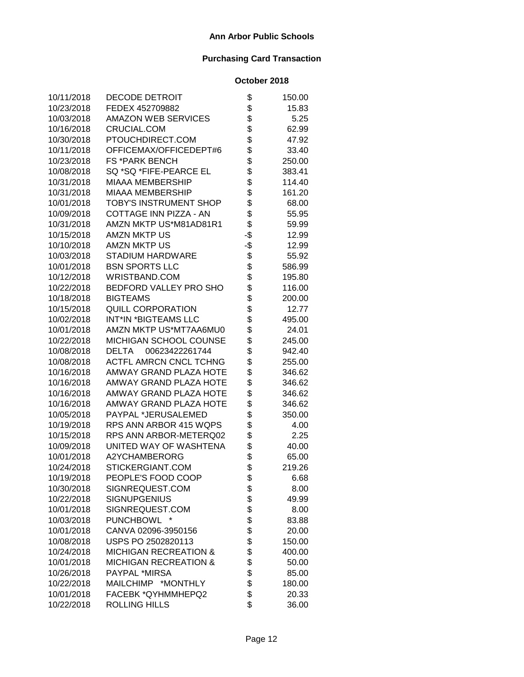| 10/11/2018 | DECODE DETROIT                   | \$  | 150.00 |
|------------|----------------------------------|-----|--------|
| 10/23/2018 | FEDEX 452709882                  | \$  | 15.83  |
| 10/03/2018 | <b>AMAZON WEB SERVICES</b>       | \$  | 5.25   |
| 10/16/2018 | <b>CRUCIAL.COM</b>               | \$  | 62.99  |
| 10/30/2018 | PTOUCHDIRECT.COM                 | \$  | 47.92  |
| 10/11/2018 | OFFICEMAX/OFFICEDEPT#6           | \$  | 33.40  |
| 10/23/2018 | <b>FS *PARK BENCH</b>            | \$  | 250.00 |
| 10/08/2018 | SQ *SQ *FIFE-PEARCE EL           | \$  | 383.41 |
| 10/31/2018 | <b>MIAAA MEMBERSHIP</b>          | \$  | 114.40 |
| 10/31/2018 | <b>MIAAA MEMBERSHIP</b>          | \$  | 161.20 |
| 10/01/2018 | <b>TOBY'S INSTRUMENT SHOP</b>    | \$  | 68.00  |
| 10/09/2018 | COTTAGE INN PIZZA - AN           | \$  | 55.95  |
| 10/31/2018 | AMZN MKTP US*M81AD81R1           | \$  | 59.99  |
| 10/15/2018 | <b>AMZN MKTP US</b>              | -\$ | 12.99  |
| 10/10/2018 | <b>AMZN MKTP US</b>              | -\$ | 12.99  |
| 10/03/2018 | <b>STADIUM HARDWARE</b>          | \$  | 55.92  |
| 10/01/2018 | <b>BSN SPORTS LLC</b>            | \$  | 586.99 |
| 10/12/2018 | WRISTBAND.COM                    | \$  | 195.80 |
| 10/22/2018 | <b>BEDFORD VALLEY PRO SHO</b>    | \$  | 116.00 |
| 10/18/2018 | <b>BIGTEAMS</b>                  | \$  | 200.00 |
| 10/15/2018 | <b>QUILL CORPORATION</b>         | \$  | 12.77  |
| 10/02/2018 | INT*IN *BIGTEAMS LLC             | \$  | 495.00 |
| 10/01/2018 | AMZN MKTP US*MT7AA6MU0           | \$  | 24.01  |
| 10/22/2018 | MICHIGAN SCHOOL COUNSE           | \$  | 245.00 |
| 10/08/2018 | <b>DELTA</b><br>00623422261744   | \$  | 942.40 |
| 10/08/2018 | <b>ACTFL AMRCN CNCL TCHNG</b>    | \$  | 255.00 |
| 10/16/2018 | AMWAY GRAND PLAZA HOTE           | \$  | 346.62 |
| 10/16/2018 | AMWAY GRAND PLAZA HOTE           | \$  | 346.62 |
| 10/16/2018 | AMWAY GRAND PLAZA HOTE           | \$  | 346.62 |
| 10/16/2018 | AMWAY GRAND PLAZA HOTE           | \$  | 346.62 |
| 10/05/2018 | PAYPAL *JERUSALEMED              | \$  | 350.00 |
| 10/19/2018 | RPS ANN ARBOR 415 WQPS           | \$  | 4.00   |
| 10/15/2018 | RPS ANN ARBOR-METERQ02           | \$  | 2.25   |
| 10/09/2018 | UNITED WAY OF WASHTENA           | \$  | 40.00  |
| 10/01/2018 | A2YCHAMBERORG                    | \$  | 65.00  |
| 10/24/2018 | STICKERGIANT.COM                 | \$  | 219.26 |
| 10/19/2018 | PEOPLE'S FOOD COOP               | \$  | 6.68   |
| 10/30/2018 | SIGNREQUEST.COM                  | \$  | 8.00   |
| 10/22/2018 | <b>SIGNUPGENIUS</b>              | \$  | 49.99  |
| 10/01/2018 | SIGNREQUEST.COM                  | \$  | 8.00   |
| 10/03/2018 | <b>PUNCHBOWL</b>                 | \$  | 83.88  |
| 10/01/2018 | CANVA 02096-3950156              | \$  | 20.00  |
| 10/08/2018 | USPS PO 2502820113               | \$  | 150.00 |
| 10/24/2018 | <b>MICHIGAN RECREATION &amp;</b> | \$  | 400.00 |
| 10/01/2018 | <b>MICHIGAN RECREATION &amp;</b> | \$  | 50.00  |
| 10/26/2018 | PAYPAL *MIRSA                    | \$  | 85.00  |
| 10/22/2018 | MAILCHIMP *MONTHLY               | \$  | 180.00 |
| 10/01/2018 | FACEBK *QYHMMHEPQ2               | \$  | 20.33  |
| 10/22/2018 | ROLLING HILLS                    | \$  | 36.00  |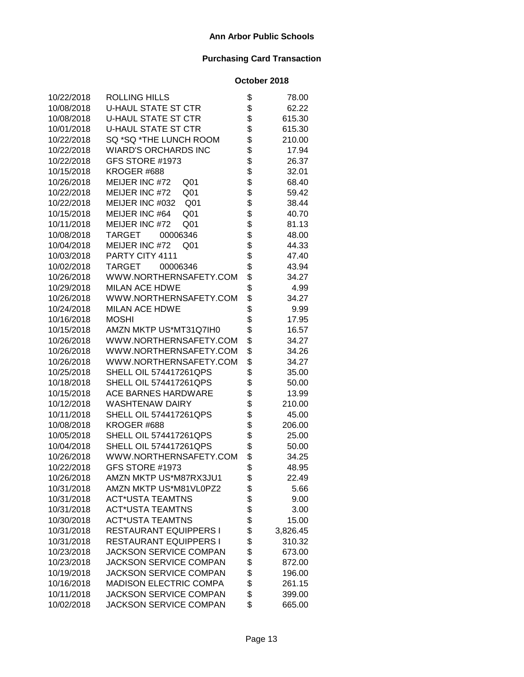| 10/22/2018 | ROLLING HILLS                      | \$<br>78.00    |
|------------|------------------------------------|----------------|
| 10/08/2018 | <b>U-HAUL STATE ST CTR</b>         | \$<br>62.22    |
| 10/08/2018 | <b>U-HAUL STATE ST CTR</b>         | \$<br>615.30   |
| 10/01/2018 | <b>U-HAUL STATE ST CTR</b>         | \$<br>615.30   |
| 10/22/2018 | SQ *SQ *THE LUNCH ROOM             | \$<br>210.00   |
| 10/22/2018 | <b>WIARD'S ORCHARDS INC</b>        | \$<br>17.94    |
| 10/22/2018 | GFS STORE #1973                    | \$<br>26.37    |
| 10/15/2018 | KROGER #688                        | \$<br>32.01    |
| 10/26/2018 | MEIJER INC #72<br>Q <sub>01</sub>  | \$<br>68.40    |
| 10/22/2018 | MEIJER INC #72<br>Q <sub>01</sub>  | \$<br>59.42    |
| 10/22/2018 | MEIJER INC #032<br>Q <sub>01</sub> | \$<br>38.44    |
| 10/15/2018 | Q <sub>01</sub><br>MEIJER INC #64  | \$<br>40.70    |
| 10/11/2018 | MEIJER INC #72<br>Q <sub>01</sub>  | \$<br>81.13    |
| 10/08/2018 | TARGET<br>00006346                 | \$<br>48.00    |
| 10/04/2018 | MEIJER INC #72<br>Q <sub>01</sub>  | \$<br>44.33    |
| 10/03/2018 | PARTY CITY 4111                    | \$<br>47.40    |
| 10/02/2018 | TARGET<br>00006346                 | \$<br>43.94    |
| 10/26/2018 | WWW.NORTHERNSAFETY.COM             | \$<br>34.27    |
| 10/29/2018 | <b>MILAN ACE HDWE</b>              | \$<br>4.99     |
| 10/26/2018 | WWW.NORTHERNSAFETY.COM             | \$<br>34.27    |
| 10/24/2018 | <b>MILAN ACE HDWE</b>              | \$<br>9.99     |
| 10/16/2018 | <b>MOSHI</b>                       | \$<br>17.95    |
| 10/15/2018 | AMZN MKTP US*MT31Q7IH0             | \$<br>16.57    |
| 10/26/2018 | WWW.NORTHERNSAFETY.COM             | \$<br>34.27    |
| 10/26/2018 | WWW.NORTHERNSAFETY.COM             | \$<br>34.26    |
| 10/26/2018 | WWW.NORTHERNSAFETY.COM             | \$<br>34.27    |
| 10/25/2018 | <b>SHELL OIL 574417261QPS</b>      | \$<br>35.00    |
| 10/18/2018 | SHELL OIL 574417261QPS             | \$<br>50.00    |
| 10/15/2018 | ACE BARNES HARDWARE                | \$<br>13.99    |
| 10/12/2018 | <b>WASHTENAW DAIRY</b>             | \$<br>210.00   |
| 10/11/2018 | <b>SHELL OIL 574417261QPS</b>      | \$<br>45.00    |
| 10/08/2018 | KROGER #688                        | \$<br>206.00   |
| 10/05/2018 | <b>SHELL OIL 574417261QPS</b>      | \$<br>25.00    |
| 10/04/2018 | <b>SHELL OIL 574417261QPS</b>      | \$<br>50.00    |
| 10/26/2018 | WWW.NORTHERNSAFETY.COM             | \$<br>34.25    |
| 10/22/2018 | GFS STORE #1973                    | \$<br>48.95    |
| 10/26/2018 | AMZN MKTP US*M87RX3JU1             | \$<br>22.49    |
| 10/31/2018 | AMZN MKTP US*M81VL0PZ2             | \$<br>5.66     |
| 10/31/2018 | <b>ACT*USTA TEAMTNS</b>            | \$<br>9.00     |
| 10/31/2018 | <b>ACT*USTA TEAMTNS</b>            | \$<br>3.00     |
| 10/30/2018 | <b>ACT*USTA TEAMTNS</b>            | \$<br>15.00    |
| 10/31/2018 | <b>RESTAURANT EQUIPPERS I</b>      | \$<br>3,826.45 |
| 10/31/2018 | <b>RESTAURANT EQUIPPERS I</b>      | \$<br>310.32   |
| 10/23/2018 | <b>JACKSON SERVICE COMPAN</b>      | \$<br>673.00   |
| 10/23/2018 | <b>JACKSON SERVICE COMPAN</b>      | \$<br>872.00   |
| 10/19/2018 | <b>JACKSON SERVICE COMPAN</b>      | \$<br>196.00   |
| 10/16/2018 | <b>MADISON ELECTRIC COMPA</b>      | \$<br>261.15   |
| 10/11/2018 | JACKSON SERVICE COMPAN             | \$<br>399.00   |
| 10/02/2018 | JACKSON SERVICE COMPAN             | \$<br>665.00   |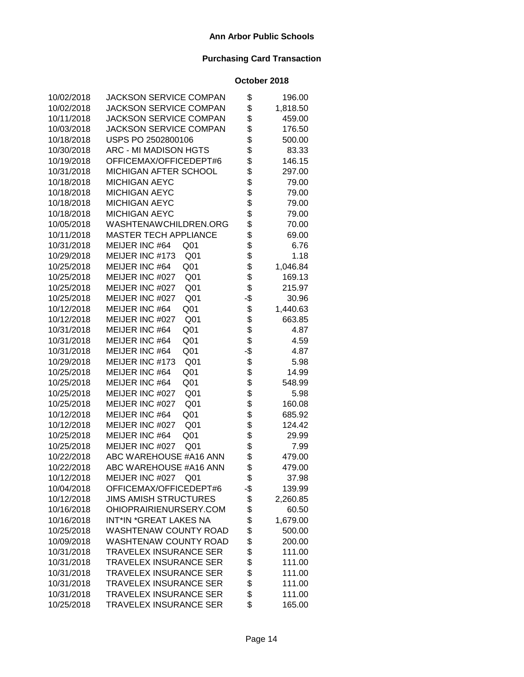| 10/02/2018 | <b>JACKSON SERVICE COMPAN</b>      | \$  | 196.00   |
|------------|------------------------------------|-----|----------|
| 10/02/2018 | <b>JACKSON SERVICE COMPAN</b>      | \$  | 1,818.50 |
| 10/11/2018 | <b>JACKSON SERVICE COMPAN</b>      | \$  | 459.00   |
| 10/03/2018 | <b>JACKSON SERVICE COMPAN</b>      | \$  | 176.50   |
| 10/18/2018 | USPS PO 2502800106                 | \$  | 500.00   |
| 10/30/2018 | <b>ARC - MI MADISON HGTS</b>       | \$  | 83.33    |
| 10/19/2018 | OFFICEMAX/OFFICEDEPT#6             | \$  | 146.15   |
| 10/31/2018 | MICHIGAN AFTER SCHOOL              | \$  | 297.00   |
| 10/18/2018 | <b>MICHIGAN AEYC</b>               | \$  | 79.00    |
| 10/18/2018 | <b>MICHIGAN AEYC</b>               | \$  | 79.00    |
| 10/18/2018 | <b>MICHIGAN AEYC</b>               | \$  | 79.00    |
| 10/18/2018 | <b>MICHIGAN AEYC</b>               | \$  | 79.00    |
| 10/05/2018 | WASHTENAWCHILDREN.ORG              | \$  | 70.00    |
| 10/11/2018 | <b>MASTER TECH APPLIANCE</b>       | \$  | 69.00    |
| 10/31/2018 | MEIJER INC #64<br>Q <sub>01</sub>  | \$  | 6.76     |
| 10/29/2018 | MEIJER INC #173<br>Q <sub>01</sub> | \$  | 1.18     |
| 10/25/2018 | Q <sub>01</sub><br>MEIJER INC #64  | \$  | 1,046.84 |
| 10/25/2018 | MEIJER INC #027<br>Q <sub>01</sub> | \$  | 169.13   |
| 10/25/2018 | MEIJER INC #027<br>Q <sub>01</sub> | \$  | 215.97   |
| 10/25/2018 | MEIJER INC #027<br>Q <sub>01</sub> | -\$ | 30.96    |
| 10/12/2018 | Q <sub>01</sub><br>MEIJER INC #64  | \$  | 1,440.63 |
| 10/12/2018 | MEIJER INC #027<br>Q <sub>01</sub> | \$  | 663.85   |
| 10/31/2018 | MEIJER INC #64<br>Q <sub>01</sub>  | \$  | 4.87     |
| 10/31/2018 | MEIJER INC #64<br>Q <sub>01</sub>  | \$  | 4.59     |
| 10/31/2018 | MEIJER INC #64<br>Q <sub>01</sub>  | -\$ | 4.87     |
| 10/29/2018 | MEIJER INC #173<br>Q <sub>01</sub> | \$  | 5.98     |
| 10/25/2018 | Q <sub>01</sub><br>MEIJER INC #64  | \$  | 14.99    |
| 10/25/2018 | Q <sub>01</sub><br>MEIJER INC #64  | \$  | 548.99   |
| 10/25/2018 | Q <sub>01</sub><br>MEIJER INC #027 | \$  | 5.98     |
| 10/25/2018 | Q <sub>01</sub><br>MEIJER INC #027 | \$  | 160.08   |
| 10/12/2018 | MEIJER INC #64<br>Q <sub>01</sub>  | \$  | 685.92   |
| 10/12/2018 | Q <sub>01</sub><br>MEIJER INC #027 | \$  | 124.42   |
| 10/25/2018 | MEIJER INC #64<br>Q <sub>01</sub>  | \$  | 29.99    |
| 10/25/2018 | MEIJER INC #027<br>Q <sub>01</sub> | \$  | 7.99     |
| 10/22/2018 | ABC WAREHOUSE #A16 ANN             | \$  | 479.00   |
| 10/22/2018 | ABC WAREHOUSE #A16 ANN             | \$  | 479.00   |
| 10/12/2018 | MEIJER INC #027 Q01                | \$  | 37.98    |
| 10/04/2018 | OFFICEMAX/OFFICEDEPT#6             | -\$ | 139.99   |
| 10/12/2018 | <b>JIMS AMISH STRUCTURES</b>       | \$  | 2,260.85 |
| 10/16/2018 | OHIOPRAIRIENURSERY.COM             | \$  | 60.50    |
| 10/16/2018 | INT*IN *GREAT LAKES NA             | \$  | 1,679.00 |
| 10/25/2018 | <b>WASHTENAW COUNTY ROAD</b>       | \$  | 500.00   |
| 10/09/2018 | <b>WASHTENAW COUNTY ROAD</b>       | \$  | 200.00   |
| 10/31/2018 | <b>TRAVELEX INSURANCE SER</b>      | \$  | 111.00   |
| 10/31/2018 | <b>TRAVELEX INSURANCE SER</b>      | \$  | 111.00   |
| 10/31/2018 | <b>TRAVELEX INSURANCE SER</b>      | \$  | 111.00   |
| 10/31/2018 | <b>TRAVELEX INSURANCE SER</b>      | \$  | 111.00   |
| 10/31/2018 | <b>TRAVELEX INSURANCE SER</b>      | \$  | 111.00   |
| 10/25/2018 | TRAVELEX INSURANCE SER             | \$  | 165.00   |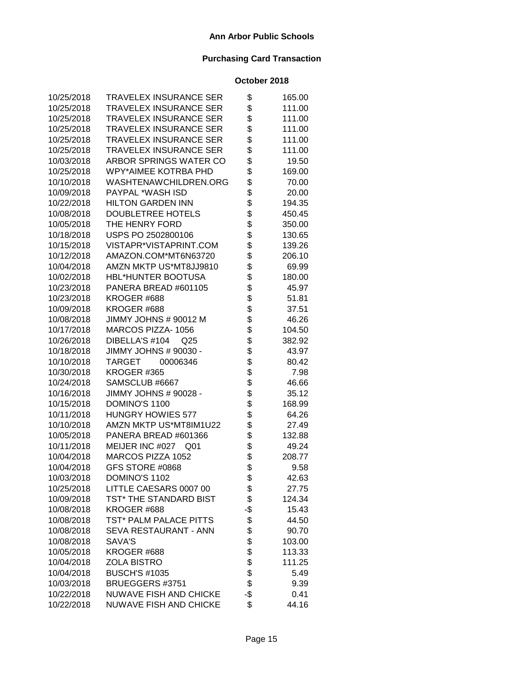| 10/25/2018 | <b>TRAVELEX INSURANCE SER</b> | \$       | 165.00 |
|------------|-------------------------------|----------|--------|
| 10/25/2018 | TRAVELEX INSURANCE SER        | \$       | 111.00 |
| 10/25/2018 | <b>TRAVELEX INSURANCE SER</b> | \$       | 111.00 |
| 10/25/2018 | <b>TRAVELEX INSURANCE SER</b> | \$       | 111.00 |
| 10/25/2018 | <b>TRAVELEX INSURANCE SER</b> | \$       | 111.00 |
| 10/25/2018 | TRAVELEX INSURANCE SER        | \$       | 111.00 |
| 10/03/2018 | ARBOR SPRINGS WATER CO        | \$       | 19.50  |
| 10/25/2018 | WPY*AIMEE KOTRBA PHD          | \$       | 169.00 |
| 10/10/2018 | WASHTENAWCHILDREN.ORG         | \$       | 70.00  |
| 10/09/2018 | PAYPAL *WASH ISD              | \$       | 20.00  |
| 10/22/2018 | <b>HILTON GARDEN INN</b>      | \$       | 194.35 |
| 10/08/2018 | DOUBLETREE HOTELS             | \$       | 450.45 |
| 10/05/2018 | THE HENRY FORD                | \$       | 350.00 |
| 10/18/2018 | USPS PO 2502800106            | \$       | 130.65 |
| 10/15/2018 | VISTAPR*VISTAPRINT.COM        | \$       | 139.26 |
| 10/12/2018 | AMAZON.COM*MT6N63720          | \$       | 206.10 |
| 10/04/2018 | AMZN MKTP US*MT8JJ9810        | \$       | 69.99  |
| 10/02/2018 | <b>HBL*HUNTER BOOTUSA</b>     | \$       | 180.00 |
| 10/23/2018 | PANERA BREAD #601105          | \$       | 45.97  |
| 10/23/2018 | KROGER #688                   | \$       | 51.81  |
| 10/09/2018 | KROGER #688                   | \$       | 37.51  |
| 10/08/2018 | JIMMY JOHNS # 90012 M         | \$       | 46.26  |
| 10/17/2018 | MARCOS PIZZA-1056             | \$       | 104.50 |
| 10/26/2018 | DIBELLA'S #104<br>Q25         | \$       | 382.92 |
| 10/18/2018 | JIMMY JOHNS # 90030 -         |          | 43.97  |
| 10/10/2018 | TARGET<br>00006346            | \$<br>\$ | 80.42  |
| 10/30/2018 | KROGER #365                   | \$       | 7.98   |
| 10/24/2018 | SAMSCLUB #6667                | \$       | 46.66  |
| 10/16/2018 | JIMMY JOHNS # 90028 -         | \$       | 35.12  |
| 10/15/2018 | DOMINO'S 1100                 | \$       | 168.99 |
| 10/11/2018 | <b>HUNGRY HOWIES 577</b>      | \$       | 64.26  |
| 10/10/2018 | AMZN MKTP US*MT8IM1U22        | \$       | 27.49  |
| 10/05/2018 | PANERA BREAD #601366          | \$       | 132.88 |
| 10/11/2018 | MEIJER INC #027<br>Q01        | \$       | 49.24  |
| 10/04/2018 | MARCOS PIZZA 1052             | \$       | 208.77 |
| 10/04/2018 | GFS STORE #0868               | \$       | 9.58   |
| 10/03/2018 | DOMINO'S 1102                 | \$       | 42.63  |
| 10/25/2018 | LITTLE CAESARS 0007 00        | \$       | 27.75  |
| 10/09/2018 | TST* THE STANDARD BIST        | \$       | 124.34 |
| 10/08/2018 | KROGER #688                   | -\$      | 15.43  |
| 10/08/2018 | TST* PALM PALACE PITTS        | \$       | 44.50  |
| 10/08/2018 | <b>SEVA RESTAURANT - ANN</b>  | \$       | 90.70  |
| 10/08/2018 | SAVA'S                        | \$       | 103.00 |
| 10/05/2018 | KROGER #688                   | \$       | 113.33 |
| 10/04/2018 | <b>ZOLA BISTRO</b>            | \$       | 111.25 |
| 10/04/2018 | <b>BUSCH'S #1035</b>          | \$       | 5.49   |
| 10/03/2018 | BRUEGGERS #3751               | \$       | 9.39   |
| 10/22/2018 | NUWAVE FISH AND CHICKE        | -\$      | 0.41   |
| 10/22/2018 | NUWAVE FISH AND CHICKE        | \$       | 44.16  |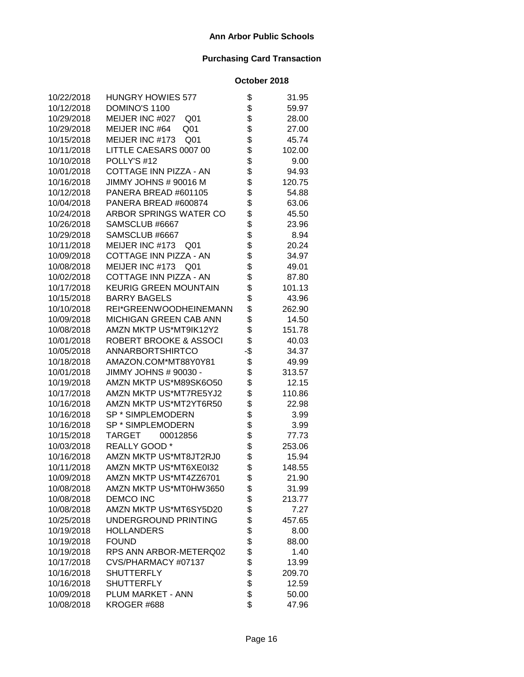| 10/22/2018 | <b>HUNGRY HOWIES 577</b>           | \$       | 31.95  |
|------------|------------------------------------|----------|--------|
| 10/12/2018 | DOMINO'S 1100                      | \$       | 59.97  |
| 10/29/2018 | MEIJER INC #027<br>Q <sub>01</sub> | \$       | 28.00  |
| 10/29/2018 | MEIJER INC #64<br>Q <sub>01</sub>  | \$       | 27.00  |
| 10/15/2018 | MEIJER INC #173<br>Q <sub>01</sub> | \$       | 45.74  |
| 10/11/2018 | LITTLE CAESARS 0007 00             | \$       | 102.00 |
| 10/10/2018 | POLLY'S #12                        | \$       | 9.00   |
| 10/01/2018 | COTTAGE INN PIZZA - AN             | \$       | 94.93  |
| 10/16/2018 | JIMMY JOHNS # 90016 M              | \$       | 120.75 |
| 10/12/2018 | PANERA BREAD #601105               | \$       | 54.88  |
| 10/04/2018 | PANERA BREAD #600874               | \$       | 63.06  |
| 10/24/2018 | ARBOR SPRINGS WATER CO             | \$       | 45.50  |
| 10/26/2018 | SAMSCLUB #6667                     | \$<br>\$ | 23.96  |
| 10/29/2018 | SAMSCLUB #6667                     |          | 8.94   |
| 10/11/2018 | MEIJER INC #173<br>Q <sub>01</sub> | \$       | 20.24  |
| 10/09/2018 | COTTAGE INN PIZZA - AN             | \$       | 34.97  |
| 10/08/2018 | MEIJER INC #173<br>Q <sub>01</sub> | \$       | 49.01  |
| 10/02/2018 | COTTAGE INN PIZZA - AN             | \$       | 87.80  |
| 10/17/2018 | <b>KEURIG GREEN MOUNTAIN</b>       | \$       | 101.13 |
| 10/15/2018 | <b>BARRY BAGELS</b>                | \$       | 43.96  |
| 10/10/2018 | REI*GREENWOODHEINEMANN             | \$       | 262.90 |
| 10/09/2018 | MICHIGAN GREEN CAB ANN             | \$       | 14.50  |
| 10/08/2018 | AMZN MKTP US*MT9IK12Y2             | \$       | 151.78 |
| 10/01/2018 | ROBERT BROOKE & ASSOCI             | \$       | 40.03  |
| 10/05/2018 | ANNARBORTSHIRTCO                   | -\$      | 34.37  |
| 10/18/2018 | AMAZON.COM*MT88Y0Y81               | \$       | 49.99  |
| 10/01/2018 | JIMMY JOHNS # 90030 -              | \$       | 313.57 |
| 10/19/2018 | AMZN MKTP US*M89SK6O50             | \$       | 12.15  |
| 10/17/2018 | AMZN MKTP US*MT7RE5YJ2             | \$       | 110.86 |
| 10/16/2018 | AMZN MKTP US*MT2YT6R50             | \$       | 22.98  |
| 10/16/2018 | SP * SIMPLEMODERN                  | \$       | 3.99   |
| 10/16/2018 | SP * SIMPLEMODERN                  | \$       | 3.99   |
| 10/15/2018 | <b>TARGET</b><br>00012856          | \$<br>\$ | 77.73  |
| 10/03/2018 | REALLY GOOD *                      |          | 253.06 |
| 10/16/2018 | AMZN MKTP US*MT8JT2RJ0             | \$       | 15.94  |
| 10/11/2018 | AMZN MKTP US*MT6XE0I32             | \$       | 148.55 |
| 10/09/2018 | AMZN MKTP US*MT4ZZ6701             | \$       | 21.90  |
| 10/08/2018 | AMZN MKTP US*MT0HW3650             | \$       | 31.99  |
| 10/08/2018 | <b>DEMCO INC</b>                   | \$       | 213.77 |
| 10/08/2018 | AMZN MKTP US*MT6SY5D20             | \$       | 7.27   |
| 10/25/2018 | UNDERGROUND PRINTING               | \$       | 457.65 |
| 10/19/2018 | <b>HOLLANDERS</b>                  | \$       | 8.00   |
| 10/19/2018 | <b>FOUND</b>                       | \$       | 88.00  |
| 10/19/2018 | RPS ANN ARBOR-METERQ02             | \$       | 1.40   |
| 10/17/2018 | CVS/PHARMACY #07137                | \$       | 13.99  |
| 10/16/2018 | <b>SHUTTERFLY</b>                  | \$       | 209.70 |
| 10/16/2018 | <b>SHUTTERFLY</b>                  | \$       | 12.59  |
| 10/09/2018 | PLUM MARKET - ANN                  | \$       | 50.00  |
| 10/08/2018 | KROGER #688                        | \$       | 47.96  |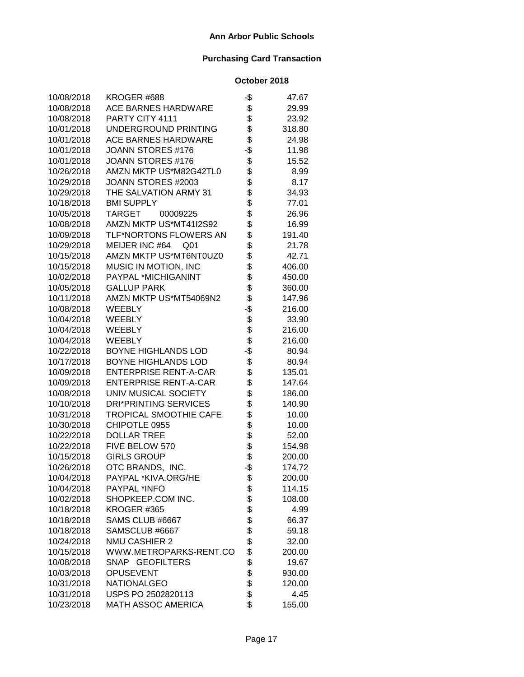| 10/08/2018 | KROGER #688                   | -\$ | 47.67  |
|------------|-------------------------------|-----|--------|
| 10/08/2018 | ACE BARNES HARDWARE           | \$  | 29.99  |
| 10/08/2018 | PARTY CITY 4111               | \$  | 23.92  |
| 10/01/2018 | UNDERGROUND PRINTING          | \$  | 318.80 |
| 10/01/2018 | <b>ACE BARNES HARDWARE</b>    | \$  | 24.98  |
| 10/01/2018 | JOANN STORES #176             | -\$ | 11.98  |
| 10/01/2018 | JOANN STORES #176             | \$  | 15.52  |
| 10/26/2018 | AMZN MKTP US*M82G42TL0        | \$  | 8.99   |
| 10/29/2018 | JOANN STORES #2003            | \$  | 8.17   |
| 10/29/2018 | THE SALVATION ARMY 31         | \$  | 34.93  |
| 10/18/2018 | <b>BMI SUPPLY</b>             | \$  | 77.01  |
| 10/05/2018 | <b>TARGET</b><br>00009225     | \$  | 26.96  |
| 10/08/2018 | AMZN MKTP US*MT41I2S92        | \$  | 16.99  |
| 10/09/2018 | TLF*NORTONS FLOWERS AN        | \$  | 191.40 |
| 10/29/2018 | MEIJER INC #64<br>Q01         | \$  | 21.78  |
| 10/15/2018 | AMZN MKTP US*MT6NT0UZ0        | \$  | 42.71  |
| 10/15/2018 | MUSIC IN MOTION, INC          | \$  | 406.00 |
| 10/02/2018 | PAYPAL *MICHIGANINT           | \$  | 450.00 |
| 10/05/2018 | <b>GALLUP PARK</b>            | \$  | 360.00 |
| 10/11/2018 | AMZN MKTP US*MT54069N2        | \$  | 147.96 |
| 10/08/2018 | <b>WEEBLY</b>                 | -\$ | 216.00 |
| 10/04/2018 | <b>WEEBLY</b>                 | \$  | 33.90  |
| 10/04/2018 | <b>WEEBLY</b>                 | \$  | 216.00 |
| 10/04/2018 | <b>WEEBLY</b>                 | \$  | 216.00 |
| 10/22/2018 | <b>BOYNE HIGHLANDS LOD</b>    | -\$ | 80.94  |
| 10/17/2018 | <b>BOYNE HIGHLANDS LOD</b>    | \$  | 80.94  |
| 10/09/2018 | <b>ENTERPRISE RENT-A-CAR</b>  | \$  | 135.01 |
| 10/09/2018 | <b>ENTERPRISE RENT-A-CAR</b>  | \$  | 147.64 |
| 10/08/2018 | UNIV MUSICAL SOCIETY          | \$  | 186.00 |
| 10/10/2018 | <b>DRI*PRINTING SERVICES</b>  | \$  | 140.90 |
| 10/31/2018 | <b>TROPICAL SMOOTHIE CAFE</b> | \$  | 10.00  |
| 10/30/2018 | CHIPOTLE 0955                 | \$  | 10.00  |
| 10/22/2018 | <b>DOLLAR TREE</b>            |     | 52.00  |
| 10/22/2018 | FIVE BELOW 570                | \$  | 154.98 |
| 10/15/2018 | <b>GIRLS GROUP</b>            | \$  | 200.00 |
| 10/26/2018 | OTC BRANDS, INC.              | -\$ | 174.72 |
| 10/04/2018 | PAYPAL *KIVA.ORG/HE           | \$  | 200.00 |
| 10/04/2018 | PAYPAL *INFO                  | \$  | 114.15 |
| 10/02/2018 | SHOPKEEP.COM INC.             | \$  | 108.00 |
| 10/18/2018 | KROGER #365                   | \$  | 4.99   |
| 10/18/2018 | SAMS CLUB #6667               | \$  | 66.37  |
| 10/18/2018 | SAMSCLUB #6667                | \$  | 59.18  |
| 10/24/2018 | <b>NMU CASHIER 2</b>          | \$  | 32.00  |
| 10/15/2018 | WWW.METROPARKS-RENT.CO        | \$  | 200.00 |
| 10/08/2018 | SNAP GEOFILTERS               | \$  | 19.67  |
| 10/03/2018 | <b>OPUSEVENT</b>              | \$  | 930.00 |
| 10/31/2018 | <b>NATIONALGEO</b>            | \$  | 120.00 |
| 10/31/2018 | USPS PO 2502820113            | \$  | 4.45   |
| 10/23/2018 | <b>MATH ASSOC AMERICA</b>     | \$  | 155.00 |